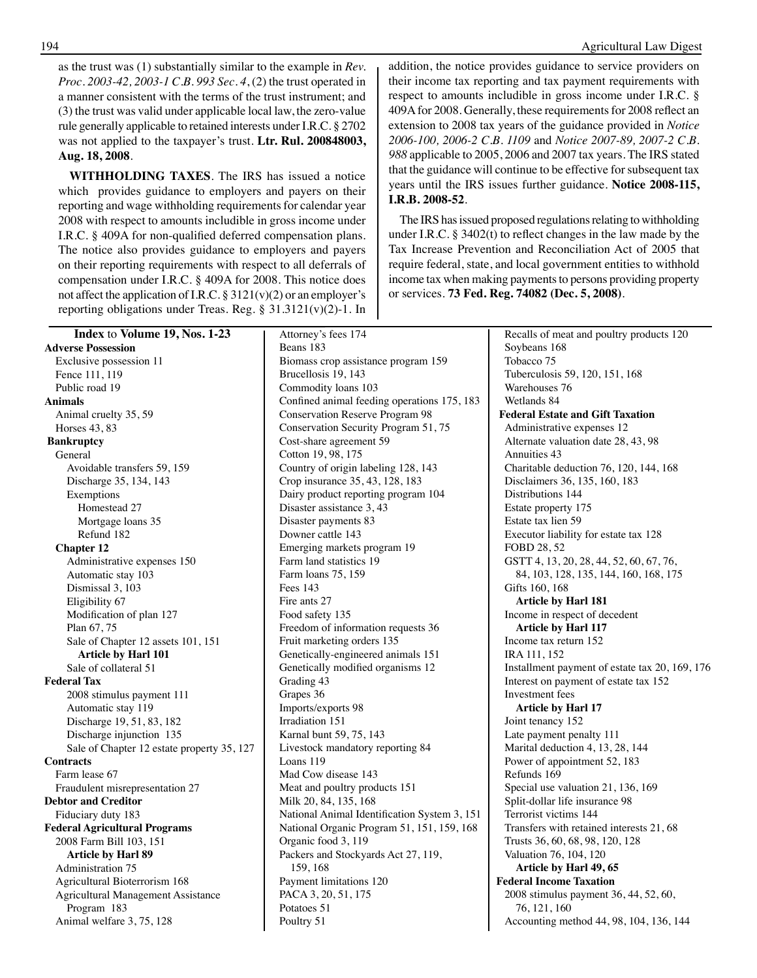as the trust was (1) substantially similar to the example in *Rev. Proc. 2003-42, 2003-1 C.B. 993 Sec. 4*, (2) the trust operated in a manner consistent with the terms of the trust instrument; and (3) the trust was valid under applicable local law, the zero-value rule generally applicable to retained interests under I.R.C. § 2702 was not applied to the taxpayer's trust. **Ltr. Rul. 200848003, Aug. 18, 2008**.

**WITHHOLDING TAXES**. The IRS has issued a notice which provides guidance to employers and payers on their reporting and wage withholding requirements for calendar year 2008 with respect to amounts includible in gross income under I.R.C. § 409A for non-qualified deferred compensation plans. The notice also provides guidance to employers and payers on their reporting requirements with respect to all deferrals of compensation under I.R.C. § 409A for 2008. This notice does not affect the application of I.R.C.  $\S 3121(v)(2)$  or an employer's reporting obligations under Treas. Reg. § 31.3121(v)(2)-1. In addition, the notice provides guidance to service providers on their income tax reporting and tax payment requirements with respect to amounts includible in gross income under I.R.C. § 409A for 2008. Generally, these requirements for 2008 reflect an extension to 2008 tax years of the guidance provided in *Notice 2006-100, 2006-2 C.B. 1109* and *Notice 2007-89, 2007-2 C.B. 988* applicable to 2005, 2006 and 2007 tax years. The IRS stated that the guidance will continue to be effective for subsequent tax years until the IRS issues further guidance. **Notice 2008-115, I.R.B. 2008-52**.

The IRS has issued proposed regulations relating to withholding under I.R.C. § 3402(t) to reflect changes in the law made by the Tax Increase Prevention and Reconciliation Act of 2005 that require federal, state, and local government entities to withhold income tax when making payments to persons providing property or services. **73 Fed. Reg. 74082 (Dec. 5, 2008)**.

 Attorney's fees 174 Beans 183 Biomass crop assistance program 159 Brucellosis 19, 143 Commodity loans 103 Confined animal feeding operations 175, 183 Conservation Reserve Program 98 Conservation Security Program 51, 75 Cost-share agreement 59 Cotton 19, 98, 175 Country of origin labeling 128, 143 Crop insurance 35, 43, 128, 183 Dairy product reporting program 104 Disaster assistance 3, 43 Disaster payments 83 Downer cattle 143 Emerging markets program 19 Farm land statistics 19 Farm loans 75, 159 Fees 143 Fire ants 27 Food safety 135 Freedom of information requests 36 Fruit marketing orders 135 Genetically-engineered animals 151 Genetically modified organisms 12 Grading 43 Grapes 36 Imports/exports 98 Irradiation 151 Karnal bunt 59, 75, 143 Livestock mandatory reporting 84 Loans 119 Mad Cow disease 143 Meat and poultry products 151 Milk 20, 84, 135, 168 National Animal Identification System 3, 151 National Organic Program 51, 151, 159, 168 Organic food 3, 119 Packers and Stockyards Act 27, 119, 159, 168 Payment limitations 120 PACA 3, 20, 51, 175 Potatoes 51 Poultry 51 **Index** to **Volume 19, Nos. 1-23 Adverse Possession** Exclusive possession 11 Fence 111, 119 Public road 19 **Animals** Animal cruelty 35, 59 Horses 43, 83  **Bankruptcy** General Avoidable transfers 59, 159 Discharge 35, 134, 143 Exemptions Homestead 27 Mortgage loans 35 Refund 182 **Chapter 12** Administrative expenses 150 Automatic stay 103 Dismissal 3, 103 Eligibility 67 Modification of plan 127 Plan 67, 75 Sale of Chapter 12 assets 101, 151  **Article by Harl 101** Sale of collateral 51 **Federal Tax** 2008 stimulus payment 111 Automatic stay 119 Discharge 19, 51, 83, 182 Discharge injunction 135 Sale of Chapter 12 estate property 35, 127 **Contracts** Farm lease 67 Fraudulent misrepresentation 27 **Debtor and Creditor** Fiduciary duty 183 **Federal Agricultural Programs** 2008 Farm Bill 103, 151  **Article by Harl 89** Administration 75 Agricultural Bioterrorism 168 Agricultural Management Assistance Program 183 Animal welfare 3, 75, 128

 Recalls of meat and poultry products 120 Soybeans 168 Tobacco 75 Tuberculosis 59, 120, 151, 168 Warehouses 76 Wetlands 84 **Federal Estate and Gift Taxation** Administrative expenses 12 Alternate valuation date 28, 43, 98 Annuities 43 Charitable deduction 76, 120, 144, 168 Disclaimers 36, 135, 160, 183 Distributions 144 Estate property 175 Estate tax lien 59 Executor liability for estate tax 128 FOBD 28, 52 GSTT 4, 13, 20, 28, 44, 52, 60, 67, 76, 84, 103, 128, 135, 144, 160, 168, 175 Gifts 160, 168  **Article by Harl 181** Income in respect of decedent  **Article by Harl 117** Income tax return 152 IRA 111, 152 Installment payment of estate tax 20, 169, 176 Interest on payment of estate tax 152 Investment fees  **Article by Harl 17** Joint tenancy 152 Late payment penalty 111 Marital deduction 4, 13, 28, 144 Power of appointment 52, 183 Refunds 169 Special use valuation 21, 136, 169 Split-dollar life insurance 98 Terrorist victims 144 Transfers with retained interests 21, 68 Trusts 36, 60, 68, 98, 120, 128 Valuation 76, 104, 120  **Article by Harl 49, 65 Federal Income Taxation** 2008 stimulus payment 36, 44, 52, 60, 76, 121, 160 Accounting method 44, 98, 104, 136, 144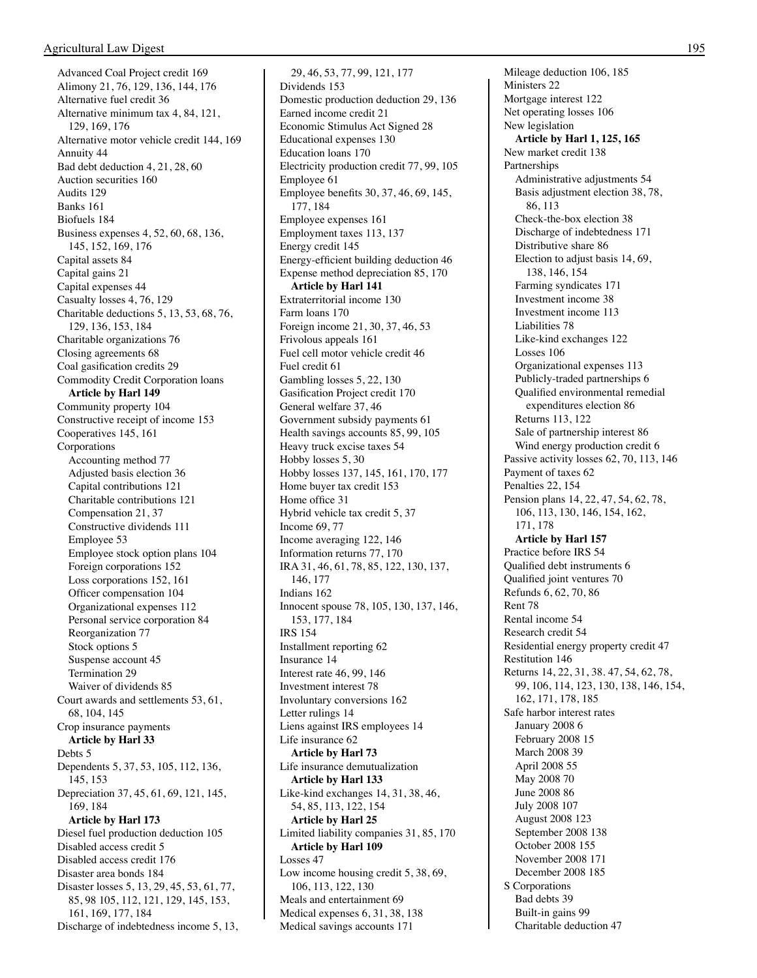Advanced Coal Project credit 169 Alimony 21, 76, 129, 136, 144, 176 Alternative fuel credit 36 Alternative minimum tax 4, 84, 121, 129, 169, 176 Alternative motor vehicle credit 144, 169 Annuity 44 Bad debt deduction 4, 21, 28, 60 Auction securities 160 Audits 129 Banks 161 Biofuels 184 Business expenses 4, 52, 60, 68, 136, 145, 152, 169, 176 Capital assets 84 Capital gains 21 Capital expenses 44 Casualty losses 4, 76, 129 Charitable deductions 5, 13, 53, 68, 76, 129, 136, 153, 184 Charitable organizations 76 Closing agreements 68 Coal gasification credits 29 Commodity Credit Corporation loans  **Article by Harl 149** Community property 104 Constructive receipt of income 153 Cooperatives 145, 161 Corporations Accounting method 77 Adjusted basis election 36 Capital contributions 121 Charitable contributions 121 Compensation 21, 37 Constructive dividends 111 Employee 53 Employee stock option plans 104 Foreign corporations 152 Loss corporations 152, 161 Officer compensation 104 Organizational expenses 112 Personal service corporation 84 Reorganization 77 Stock options 5 Suspense account 45 Termination 29 Waiver of dividends 85 Court awards and settlements 53, 61, 68, 104, 145 Crop insurance payments  **Article by Harl 33** Debts 5 Dependents 5, 37, 53, 105, 112, 136, 145, 153 Depreciation 37, 45, 61, 69, 121, 145, 169, 184  **Article by Harl 173** Diesel fuel production deduction 105 Disabled access credit 5 Disabled access credit 176 Disaster area bonds 184 Disaster losses 5, 13, 29, 45, 53, 61, 77, 85, 98 105, 112, 121, 129, 145, 153, 161, 169, 177, 184 Discharge of indebtedness income 5, 13,

 29, 46, 53, 77, 99, 121, 177 Dividends 153 Domestic production deduction 29, 136 Earned income credit 21 Economic Stimulus Act Signed 28 Educational expenses 130 Education loans 170 Electricity production credit 77, 99, 105 Employee 61 Employee benefits 30, 37, 46, 69, 145, 177, 184 Employee expenses 161 Employment taxes 113, 137 Energy credit 145 Energy-efficient building deduction 46 Expense method depreciation 85, 170  **Article by Harl 141** Extraterritorial income 130 Farm loans 170 Foreign income 21, 30, 37, 46, 53 Frivolous appeals 161 Fuel cell motor vehicle credit 46 Fuel credit 61 Gambling losses 5, 22, 130 Gasification Project credit 170 General welfare 37, 46 Government subsidy payments 61 Health savings accounts 85, 99, 105 Heavy truck excise taxes 54 Hobby losses 5, 30 Hobby losses 137, 145, 161, 170, 177 Home buyer tax credit 153 Home office 31 Hybrid vehicle tax credit 5, 37 Income 69, 77 Income averaging 122, 146 Information returns 77, 170 IRA 31, 46, 61, 78, 85, 122, 130, 137, 146, 177 Indians 162 Innocent spouse 78, 105, 130, 137, 146, 153, 177, 184 IRS 154 Installment reporting 62 Insurance 14 Interest rate 46, 99, 146 Investment interest 78 Involuntary conversions 162 Letter rulings 14 Liens against IRS employees 14 Life insurance 62  **Article by Harl 73** Life insurance demutualization  **Article by Harl 133** Like-kind exchanges 14, 31, 38, 46, 54, 85, 113, 122, 154  **Article by Harl 25** Limited liability companies 31, 85, 170  **Article by Harl 109** Losses 47 Low income housing credit 5, 38, 69, 106, 113, 122, 130 Meals and entertainment 69 Medical expenses 6, 31, 38, 138 Medical savings accounts 171

 Mileage deduction 106, 185 Ministers 22 Mortgage interest 122 Net operating losses 106 New legislation  **Article by Harl 1, 125, 165** New market credit 138 Partnerships Administrative adjustments 54 Basis adjustment election 38, 78, 86, 113 Check-the-box election 38 Discharge of indebtedness 171 Distributive share 86 Election to adjust basis 14, 69, 138, 146, 154 Farming syndicates 171 Investment income 38 Investment income 113 Liabilities 78 Like-kind exchanges 122 Losses 106 Organizational expenses 113 Publicly-traded partnerships 6 Qualified environmental remedial expenditures election 86 Returns 113, 122 Sale of partnership interest 86 Wind energy production credit 6 Passive activity losses 62, 70, 113, 146 Payment of taxes 62 Penalties 22, 154 Pension plans 14, 22, 47, 54, 62, 78, 106, 113, 130, 146, 154, 162, 171, 178  **Article by Harl 157** Practice before IRS 54 Qualified debt instruments 6 Qualified joint ventures 70 Refunds 6, 62, 70, 86 Rent 78 Rental income 54 Research credit 54 Residential energy property credit 47 Restitution 146 Returns 14, 22, 31, 38. 47, 54, 62, 78, 99, 106, 114, 123, 130, 138, 146, 154, 162, 171, 178, 185 Safe harbor interest rates January 2008 6 February 2008 15 March 2008 39 April 2008 55 May 2008 70 June 2008 86 July 2008 107 August 2008 123 September 2008 138 October 2008 155 November 2008 171 December 2008 185 S Corporations Bad debts 39 Built-in gains 99 Charitable deduction 47